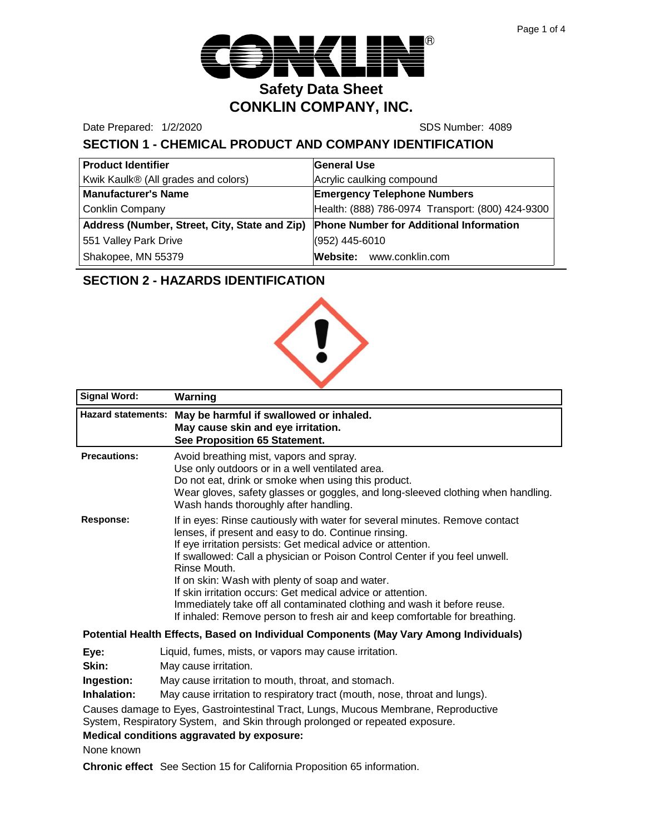

Date Prepared: 1/2/2020 **SDS Number: 4089** 

# **SECTION 1 - CHEMICAL PRODUCT AND COMPANY IDENTIFICATION**

| <b>Product Identifier</b>                     | General Use                                      |
|-----------------------------------------------|--------------------------------------------------|
| Kwik Kaulk® (All grades and colors)           | Acrylic caulking compound                        |
| <b>Manufacturer's Name</b>                    | <b>Emergency Telephone Numbers</b>               |
| <b>Conklin Company</b>                        | Health: (888) 786-0974 Transport: (800) 424-9300 |
| Address (Number, Street, City, State and Zip) | <b>Phone Number for Additional Information</b>   |
| 551 Valley Park Drive                         | (952) 445-6010                                   |
| Shakopee, MN 55379                            | Website: www.conklin.com                         |

## **SECTION 2 - HAZARDS IDENTIFICATION**



| <b>Signal Word:</b> | Warning                                                                                                                                                                                                                                                                                                                                                                                                                                                                                                                                                                        |
|---------------------|--------------------------------------------------------------------------------------------------------------------------------------------------------------------------------------------------------------------------------------------------------------------------------------------------------------------------------------------------------------------------------------------------------------------------------------------------------------------------------------------------------------------------------------------------------------------------------|
|                     | Hazard statements: May be harmful if swallowed or inhaled.<br>May cause skin and eye irritation.<br>See Proposition 65 Statement.                                                                                                                                                                                                                                                                                                                                                                                                                                              |
| <b>Precautions:</b> | Avoid breathing mist, vapors and spray.<br>Use only outdoors or in a well ventilated area.<br>Do not eat, drink or smoke when using this product.<br>Wear gloves, safety glasses or goggles, and long-sleeved clothing when handling.<br>Wash hands thoroughly after handling.                                                                                                                                                                                                                                                                                                 |
| Response:           | If in eyes: Rinse cautiously with water for several minutes. Remove contact<br>lenses, if present and easy to do. Continue rinsing.<br>If eye irritation persists: Get medical advice or attention.<br>If swallowed: Call a physician or Poison Control Center if you feel unwell.<br>Rinse Mouth.<br>If on skin: Wash with plenty of soap and water.<br>If skin irritation occurs: Get medical advice or attention.<br>Immediately take off all contaminated clothing and wash it before reuse.<br>If inhaled: Remove person to fresh air and keep comfortable for breathing. |
|                     | Detential Health Effects, Desed on Individual Components (May Very Among Individuals)                                                                                                                                                                                                                                                                                                                                                                                                                                                                                          |

#### **Potential Health Effects, Based on Individual Components (May Vary Among Individuals)**

- **Eye:** Liquid, fumes, mists, or vapors may cause irritation.
- **Skin:** May cause irritation.

**Ingestion:** May cause irritation to mouth, throat, and stomach.

**Inhalation:** May cause irritation to respiratory tract (mouth, nose, throat and lungs).

Causes damage to Eyes, Gastrointestinal Tract, Lungs, Mucous Membrane, Reproductive System, Respiratory System, and Skin through prolonged or repeated exposure.

**Medical conditions aggravated by exposure:**

None known

**Chronic effect** See Section 15 for California Proposition 65 information.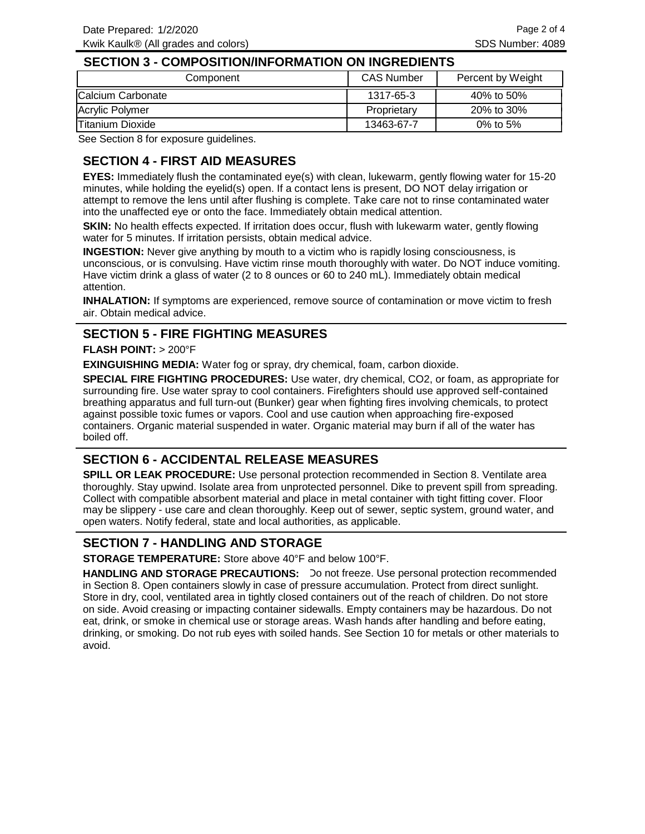#### **SECTION 3 - COMPOSITION/INFORMATION ON INGREDIENTS**

| Component                | <b>CAS Number</b> | Percent by Weight |
|--------------------------|-------------------|-------------------|
| Calcium Carbonate        | 1317-65-3         | 40% to 50%        |
| Acrylic Polymer          | Proprietary       | 20% to 30%        |
| <b>ITitanium Dioxide</b> | 13463-67-7        | 0% to 5%          |

See Section 8 for exposure guidelines.

## **SECTION 4 - FIRST AID MEASURES**

**EYES:** Immediately flush the contaminated eye(s) with clean, lukewarm, gently flowing water for 15-20 minutes, while holding the eyelid(s) open. If a contact lens is present, DO NOT delay irrigation or attempt to remove the lens until after flushing is complete. Take care not to rinse contaminated water into the unaffected eye or onto the face. Immediately obtain medical attention.

**SKIN:** No health effects expected. If irritation does occur, flush with lukewarm water, gently flowing water for 5 minutes. If irritation persists, obtain medical advice.

**INGESTION:** Never give anything by mouth to a victim who is rapidly losing consciousness, is unconscious, or is convulsing. Have victim rinse mouth thoroughly with water. Do NOT induce vomiting. Have victim drink a glass of water (2 to 8 ounces or 60 to 240 mL). Immediately obtain medical attention.

**INHALATION:** If symptoms are experienced, remove source of contamination or move victim to fresh air. Obtain medical advice.

#### **SECTION 5 - FIRE FIGHTING MEASURES**

#### **FLASH POINT:** > 200°F

**EXINGUISHING MEDIA:** Water fog or spray, dry chemical, foam, carbon dioxide.

**SPECIAL FIRE FIGHTING PROCEDURES:** Use water, dry chemical, CO2, or foam, as appropriate for surrounding fire. Use water spray to cool containers. Firefighters should use approved self-contained breathing apparatus and full turn-out (Bunker) gear when fighting fires involving chemicals, to protect against possible toxic fumes or vapors. Cool and use caution when approaching fire-exposed containers. Organic material suspended in water. Organic material may burn if all of the water has boiled off.

#### **SECTION 6 - ACCIDENTAL RELEASE MEASURES**

**SPILL OR LEAK PROCEDURE:** Use personal protection recommended in Section 8. Ventilate area thoroughly. Stay upwind. Isolate area from unprotected personnel. Dike to prevent spill from spreading. Collect with compatible absorbent material and place in metal container with tight fitting cover. Floor may be slippery - use care and clean thoroughly. Keep out of sewer, septic system, ground water, and open waters. Notify federal, state and local authorities, as applicable.

## **SECTION 7 - HANDLING AND STORAGE**

**STORAGE TEMPERATURE:** Store above 40°F and below 100°F.

HANDLING AND STORAGE PRECAUTIONS: Do not freeze. Use personal protection recommended in Section 8. Open containers slowly in case of pressure accumulation. Protect from direct sunlight. Store in dry, cool, ventilated area in tightly closed containers out of the reach of children. Do not store on side. Avoid creasing or impacting container sidewalls. Empty containers may be hazardous. Do not eat, drink, or smoke in chemical use or storage areas. Wash hands after handling and before eating, drinking, or smoking. Do not rub eyes with soiled hands. See Section 10 for metals or other materials to avoid.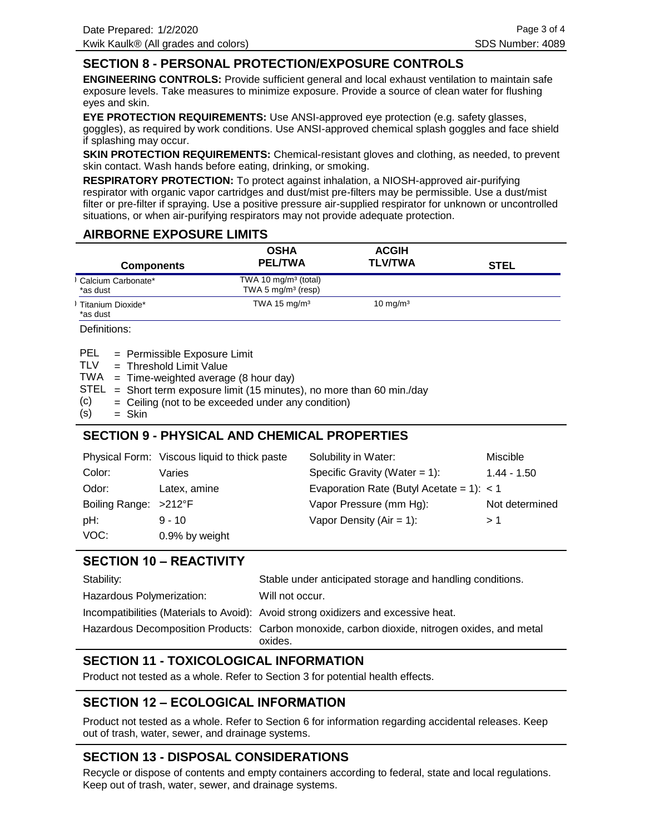## **SECTION 8 - PERSONAL PROTECTION/EXPOSURE CONTROLS**

**ENGINEERING CONTROLS:** Provide sufficient general and local exhaust ventilation to maintain safe exposure levels. Take measures to minimize exposure. Provide a source of clean water for flushing eyes and skin.

**EYE PROTECTION REQUIREMENTS:** Use ANSI-approved eye protection (e.g. safety glasses, goggles), as required by work conditions. Use ANSI-approved chemical splash goggles and face shield if splashing may occur.

**SKIN PROTECTION REQUIREMENTS:** Chemical-resistant gloves and clothing, as needed, to prevent skin contact. Wash hands before eating, drinking, or smoking.

**RESPIRATORY PROTECTION:** To protect against inhalation, a NIOSH-approved air-purifying respirator with organic vapor cartridges and dust/mist pre-filters may be permissible. Use a dust/mist filter or pre-filter if spraying. Use a positive pressure air-supplied respirator for unknown or uncontrolled situations, or when air-purifying respirators may not provide adequate protection.

## **AIRBORNE EXPOSURE LIMITS**

|                                | <b>OSHA</b>                                    | <b>ACGIH</b>        |             |
|--------------------------------|------------------------------------------------|---------------------|-------------|
| <b>Components</b>              | <b>PEL/TWA</b>                                 | <b>TLV/TWA</b>      | <b>STEL</b> |
| Calcium Carbonate*<br>*as dust | TWA 10 $mg/m3$ (total)<br>TWA 5 $mg/m3$ (resp) |                     |             |
| Titanium Dioxide*<br>*as dust  | TWA 15 $mg/m3$                                 | $10 \text{ mg/m}^3$ |             |

Definitions:

| PEL | = Permissible Exposure Limit |  |  |
|-----|------------------------------|--|--|
|-----|------------------------------|--|--|

- Threshold Limit Value = TI<sub>V</sub>
- $TWA = Time-weighted average (8 hour day)$
- $STEL = Short term exposure limit (15 minutes), no more than 60 min/day$
- Ceiling (not to be exceeded under any condition) = (c)
- Skin = (s)

# **SECTION 9 - PHYSICAL AND CHEMICAL PROPERTIES**

|                       | Physical Form: Viscous liquid to thick paste | Solubility in Water:                        | <b>Miscible</b> |
|-----------------------|----------------------------------------------|---------------------------------------------|-----------------|
| Color:                | Varies                                       | Specific Gravity (Water = $1$ ):            | $1.44 - 1.50$   |
| Odor:                 | Latex, amine                                 | Evaporation Rate (Butyl Acetate = 1): $<$ 1 |                 |
| Boiling Range: >212°F |                                              | Vapor Pressure (mm Hg):                     | Not determined  |
| pH:                   | $9 - 10$                                     | Vapor Density ( $Air = 1$ ):                | >1              |
| VOC:                  | 0.9% by weight                               |                                             |                 |

## **SECTION 10 – REACTIVITY**

| Stability:                | Stable under anticipated storage and handling conditions.                                                |
|---------------------------|----------------------------------------------------------------------------------------------------------|
| Hazardous Polymerization: | Will not occur.                                                                                          |
|                           | Incompatibilities (Materials to Avoid): Avoid strong oxidizers and excessive heat.                       |
|                           | Hazardous Decomposition Products: Carbon monoxide, carbon dioxide, nitrogen oxides, and metal<br>oxides. |

# **SECTION 11 - TOXICOLOGICAL INFORMATION**

Product not tested as a whole. Refer to Section 3 for potential health effects.

## **SECTION 12 – ECOLOGICAL INFORMATION**

Product not tested as a whole. Refer to Section 6 for information regarding accidental releases. Keep out of trash, water, sewer, and drainage systems.

# **SECTION 13 - DISPOSAL CONSIDERATIONS**

Recycle or dispose of contents and empty containers according to federal, state and local regulations. Keep out of trash, water, sewer, and drainage systems.